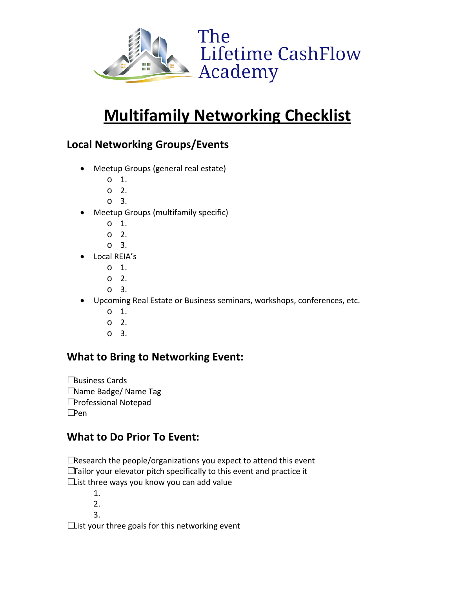

# **Multifamily Networking Checklist**

#### **Local Networking Groups/Events**

- Meetup Groups (general real estate)
	- o 1.
	- o 2.
	- o 3.
- Meetup Groups (multifamily specific)
	- o 1.
	- o 2.
	- o 3.
- Local REIA's
	- o 1.
	- o 2.
	- o 3.
- Upcoming Real Estate or Business seminars, workshops, conferences, etc.
	- o 1.
	- o 2.
	- o 3.

#### **What to Bring to Networking Event:**

**□Business Cards** ☐Name Badge/ Name Tag ☐Professional Notepad ☐Pen

#### **What to Do Prior To Event:**

□Research the people/organizations you expect to attend this event ☐Tailor your elevator pitch specifically to this event and practice it  $\Box$ ist three ways you know you can add value

- 1.
- 2.
- 3.

 $\Box$ ist your three goals for this networking event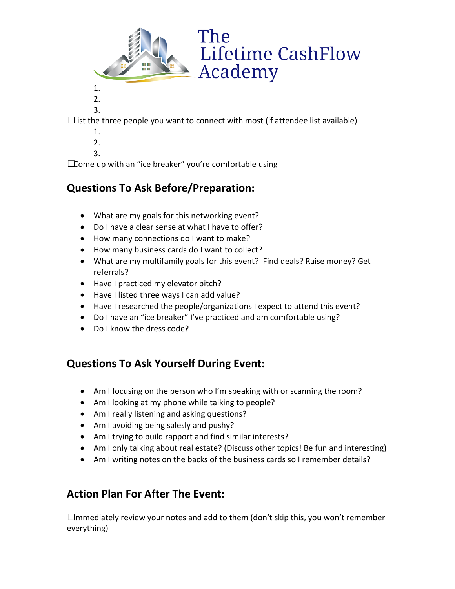



3.

 $\Box$ ist the three people you want to connect with most (if attendee list available)

The

Academy

**Lifetime CashFlow** 

1. 2.

3.

☐Come up with an "ice breaker" you're comfortable using

#### **Questions To Ask Before/Preparation:**

- What are my goals for this networking event?
- Do I have a clear sense at what I have to offer?
- How many connections do I want to make?
- How many business cards do I want to collect?
- What are my multifamily goals for this event? Find deals? Raise money? Get referrals?
- Have I practiced my elevator pitch?
- Have I listed three ways I can add value?
- Have I researched the people/organizations I expect to attend this event?
- Do I have an "ice breaker" I've practiced and am comfortable using?
- Do I know the dress code?

#### **Questions To Ask Yourself During Event:**

- Am I focusing on the person who I'm speaking with or scanning the room?
- Am I looking at my phone while talking to people?
- Am I really listening and asking questions?
- Am I avoiding being salesly and pushy?
- Am I trying to build rapport and find similar interests?
- Am I only talking about real estate? (Discuss other topics! Be fun and interesting)
- Am I writing notes on the backs of the business cards so I remember details?

#### **Action Plan For After The Event:**

 $\Box$ mmediately review your notes and add to them (don't skip this, you won't remember everything)